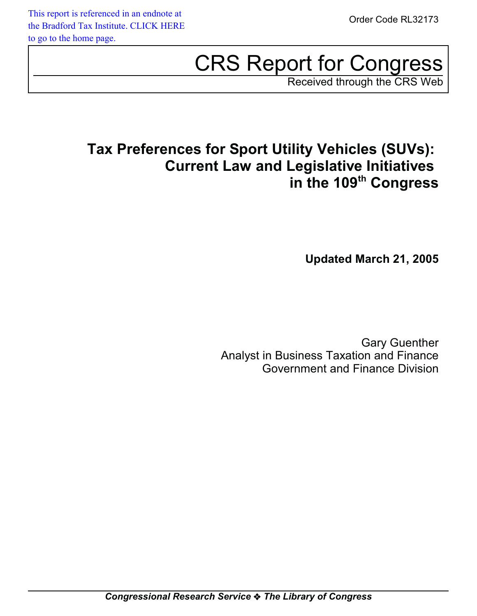# CRS Report for Congress

Received through the CRS Web

# **Tax Preferences for Sport Utility Vehicles (SUVs): Current Law and Legislative Initiatives in the 109th Congress**

**Updated March 21, 2005**

Gary Guenther Analyst in Business Taxation and Finance Government and Finance Division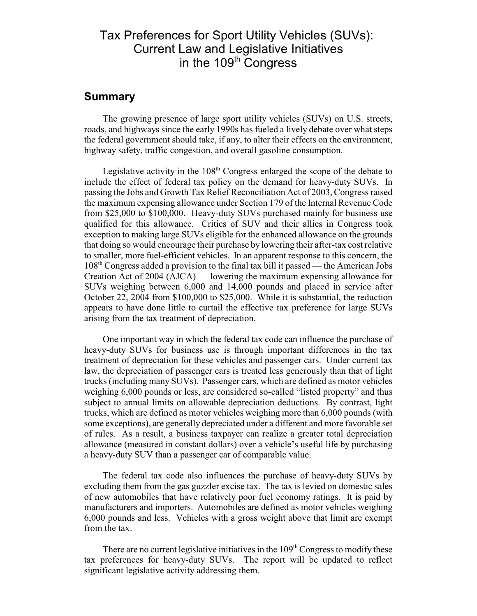#### Tax Preferences for Sport Utility Vehicles (SUVs): Current Law and Legislative Initiatives in the 109<sup>th</sup> Congress

#### **Summary**

The growing presence of large sport utility vehicles (SUVs) on U.S. streets, roads, and highways since the early 1990s has fueled a lively debate over what steps the federal government should take, if any, to alter their effects on the environment, highway safety, traffic congestion, and overall gasoline consumption.

Legislative activity in the  $108<sup>th</sup>$  Congress enlarged the scope of the debate to include the effect of federal tax policy on the demand for heavy-duty SUVs. In passing the Jobs and Growth Tax Relief Reconciliation Act of 2003, Congress raised the maximum expensing allowance under Section 179 of the Internal Revenue Code from \$25,000 to \$100,000. Heavy-duty SUVs purchased mainly for business use qualified for this allowance. Critics of SUV and their allies in Congress took exception to making large SUVs eligible for the enhanced allowance on the grounds that doing so would encourage their purchase by lowering their after-tax cost relative to smaller, more fuel-efficient vehicles. In an apparent response to this concern, the  $108<sup>th</sup>$  Congress added a provision to the final tax bill it passed — the American Jobs Creation Act of 2004 (AJCA) — lowering the maximum expensing allowance for SUVs weighing between 6,000 and 14,000 pounds and placed in service after October 22, 2004 from \$100,000 to \$25,000. While it is substantial, the reduction appears to have done little to curtail the effective tax preference for large SUVs arising from the tax treatment of depreciation.

One important way in which the federal tax code can influence the purchase of heavy-duty SUVs for business use is through important differences in the tax treatment of depreciation for these vehicles and passenger cars. Under current tax law, the depreciation of passenger cars is treated less generously than that of light trucks (including many SUVs). Passenger cars, which are defined as motor vehicles weighing 6,000 pounds or less, are considered so-called "listed property" and thus subject to annual limits on allowable depreciation deductions. By contrast, light trucks, which are defined as motor vehicles weighing more than 6,000 pounds (with some exceptions), are generally depreciated under a different and more favorable set of rules. As a result, a business taxpayer can realize a greater total depreciation allowance (measured in constant dollars) over a vehicle's useful life by purchasing a heavy-duty SUV than a passenger car of comparable value.

The federal tax code also influences the purchase of heavy-duty SUVs by excluding them from the gas guzzler excise tax. The tax is levied on domestic sales of new automobiles that have relatively poor fuel economy ratings. It is paid by manufacturers and importers. Automobiles are defined as motor vehicles weighing 6,000 pounds and less. Vehicles with a gross weight above that limit are exempt from the tax.

There are no current legislative initiatives in the  $109<sup>th</sup>$  Congress to modify these tax preferences for heavy-duty SUVs. The report will be updated to reflect significant legislative activity addressing them.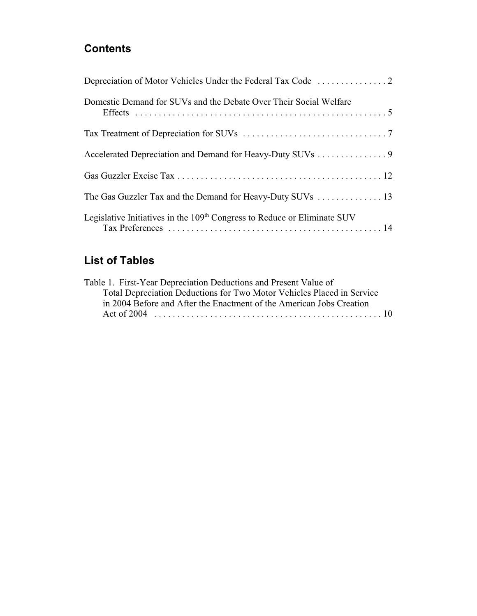### **Contents**

| Domestic Demand for SUVs and the Debate Over Their Social Welfare                    |
|--------------------------------------------------------------------------------------|
|                                                                                      |
| Accelerated Depreciation and Demand for Heavy-Duty SUVs 9                            |
|                                                                                      |
|                                                                                      |
| Legislative Initiatives in the 109 <sup>th</sup> Congress to Reduce or Eliminate SUV |

## **List of Tables**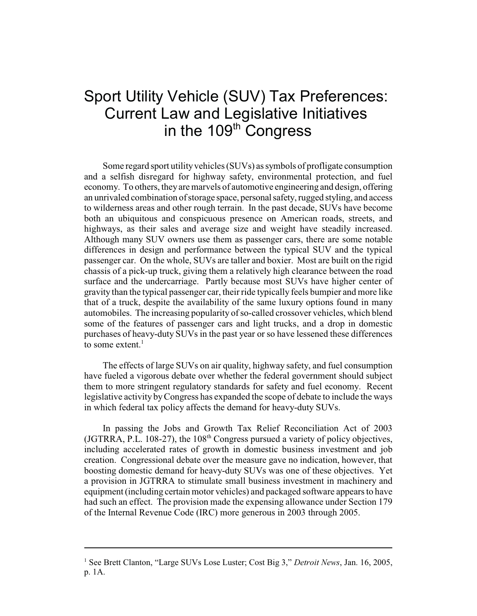# Sport Utility Vehicle (SUV) Tax Preferences: Current Law and Legislative Initiatives in the 109<sup>th</sup> Congress

Some regard sport utility vehicles (SUVs) as symbols of profligate consumption and a selfish disregard for highway safety, environmental protection, and fuel economy. To others, they are marvels of automotive engineering and design, offering an unrivaled combination of storage space, personal safety, rugged styling, and access to wilderness areas and other rough terrain. In the past decade, SUVs have become both an ubiquitous and conspicuous presence on American roads, streets, and highways, as their sales and average size and weight have steadily increased. Although many SUV owners use them as passenger cars, there are some notable differences in design and performance between the typical SUV and the typical passenger car. On the whole, SUVs are taller and boxier. Most are built on the rigid chassis of a pick-up truck, giving them a relatively high clearance between the road surface and the undercarriage. Partly because most SUVs have higher center of gravity than the typical passenger car, their ride typically feels bumpier and more like that of a truck, despite the availability of the same luxury options found in many automobiles. The increasing popularity of so-called crossover vehicles, which blend some of the features of passenger cars and light trucks, and a drop in domestic purchases of heavy-duty SUVs in the past year or so have lessened these differences to some extent. $<sup>1</sup>$ </sup>

The effects of large SUVs on air quality, highway safety, and fuel consumption have fueled a vigorous debate over whether the federal government should subject them to more stringent regulatory standards for safety and fuel economy. Recent legislative activity by Congress has expanded the scope of debate to include the ways in which federal tax policy affects the demand for heavy-duty SUVs.

In passing the Jobs and Growth Tax Relief Reconciliation Act of 2003 (JGTRRA, P.L. 108-27), the  $108<sup>th</sup>$  Congress pursued a variety of policy objectives, including accelerated rates of growth in domestic business investment and job creation. Congressional debate over the measure gave no indication, however, that boosting domestic demand for heavy-duty SUVs was one of these objectives. Yet a provision in JGTRRA to stimulate small business investment in machinery and equipment (including certain motor vehicles) and packaged software appears to have had such an effect. The provision made the expensing allowance under Section 179 of the Internal Revenue Code (IRC) more generous in 2003 through 2005.

<sup>&</sup>lt;sup>1</sup> See Brett Clanton, "Large SUVs Lose Luster; Cost Big 3," *Detroit News*, Jan. 16, 2005, p. 1A.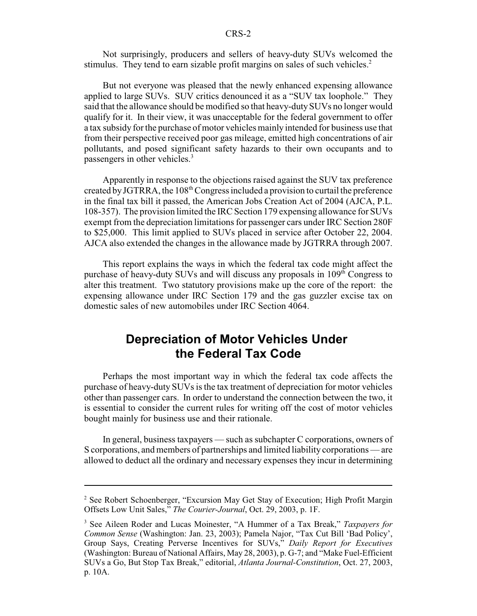Not surprisingly, producers and sellers of heavy-duty SUVs welcomed the stimulus. They tend to earn sizable profit margins on sales of such vehicles.<sup>2</sup>

But not everyone was pleased that the newly enhanced expensing allowance applied to large SUVs. SUV critics denounced it as a "SUV tax loophole." They said that the allowance should be modified so that heavy-duty SUVs no longer would qualify for it. In their view, it was unacceptable for the federal government to offer a tax subsidy for the purchase of motor vehicles mainly intended for business use that from their perspective received poor gas mileage, emitted high concentrations of air pollutants, and posed significant safety hazards to their own occupants and to passengers in other vehicles.<sup>3</sup>

Apparently in response to the objections raised against the SUV tax preference created by JGTRRA, the  $108<sup>th</sup>$  Congress included a provision to curtail the preference in the final tax bill it passed, the American Jobs Creation Act of 2004 (AJCA, P.L. 108-357). The provision limited the IRC Section 179 expensing allowance for SUVs exempt from the depreciation limitations for passenger cars under IRC Section 280F to \$25,000. This limit applied to SUVs placed in service after October 22, 2004. AJCA also extended the changes in the allowance made by JGTRRA through 2007.

This report explains the ways in which the federal tax code might affect the purchase of heavy-duty SUVs and will discuss any proposals in  $109<sup>th</sup>$  Congress to alter this treatment. Two statutory provisions make up the core of the report: the expensing allowance under IRC Section 179 and the gas guzzler excise tax on domestic sales of new automobiles under IRC Section 4064.

#### **Depreciation of Motor Vehicles Under the Federal Tax Code**

Perhaps the most important way in which the federal tax code affects the purchase of heavy-duty SUVs is the tax treatment of depreciation for motor vehicles other than passenger cars. In order to understand the connection between the two, it is essential to consider the current rules for writing off the cost of motor vehicles bought mainly for business use and their rationale.

In general, business taxpayers — such as subchapter C corporations, owners of S corporations, and members of partnerships and limited liability corporations — are allowed to deduct all the ordinary and necessary expenses they incur in determining

<sup>&</sup>lt;sup>2</sup> See Robert Schoenberger, "Excursion May Get Stay of Execution; High Profit Margin Offsets Low Unit Sales," *The Courier-Journal*, Oct. 29, 2003, p. 1F.

<sup>3</sup> See Aileen Roder and Lucas Moinester, "A Hummer of a Tax Break," *Taxpayers for Common Sense* (Washington: Jan. 23, 2003); Pamela Najor, "Tax Cut Bill 'Bad Policy', Group Says, Creating Perverse Incentives for SUVs," *Daily Report for Executives* (Washington: Bureau of National Affairs, May 28, 2003), p. G-7; and "Make Fuel-Efficient SUVs a Go, But Stop Tax Break," editorial, *Atlanta Journal-Constitution*, Oct. 27, 2003, p. 10A.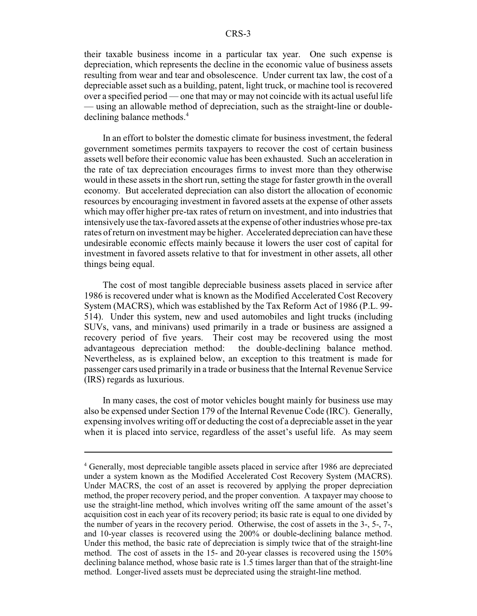their taxable business income in a particular tax year. One such expense is depreciation, which represents the decline in the economic value of business assets resulting from wear and tear and obsolescence. Under current tax law, the cost of a depreciable asset such as a building, patent, light truck, or machine tool is recovered over a specified period — one that may or may not coincide with its actual useful life — using an allowable method of depreciation, such as the straight-line or doubledeclining balance methods.<sup>4</sup>

In an effort to bolster the domestic climate for business investment, the federal government sometimes permits taxpayers to recover the cost of certain business assets well before their economic value has been exhausted. Such an acceleration in the rate of tax depreciation encourages firms to invest more than they otherwise would in these assets in the short run, setting the stage for faster growth in the overall economy. But accelerated depreciation can also distort the allocation of economic resources by encouraging investment in favored assets at the expense of other assets which may offer higher pre-tax rates of return on investment, and into industries that intensively use the tax-favored assets at the expense of other industries whose pre-tax rates of return on investment may be higher. Accelerated depreciation can have these undesirable economic effects mainly because it lowers the user cost of capital for investment in favored assets relative to that for investment in other assets, all other things being equal.

The cost of most tangible depreciable business assets placed in service after 1986 is recovered under what is known as the Modified Accelerated Cost Recovery System (MACRS), which was established by the Tax Reform Act of 1986 (P.L. 99- 514). Under this system, new and used automobiles and light trucks (including SUVs, vans, and minivans) used primarily in a trade or business are assigned a recovery period of five years. Their cost may be recovered using the most advantageous depreciation method: the double-declining balance method. Nevertheless, as is explained below, an exception to this treatment is made for passenger cars used primarily in a trade or business that the Internal Revenue Service (IRS) regards as luxurious.

In many cases, the cost of motor vehicles bought mainly for business use may also be expensed under Section 179 of the Internal Revenue Code (IRC). Generally, expensing involves writing off or deducting the cost of a depreciable asset in the year when it is placed into service, regardless of the asset's useful life. As may seem

<sup>&</sup>lt;sup>4</sup> Generally, most depreciable tangible assets placed in service after 1986 are depreciated under a system known as the Modified Accelerated Cost Recovery System (MACRS). Under MACRS, the cost of an asset is recovered by applying the proper depreciation method, the proper recovery period, and the proper convention. A taxpayer may choose to use the straight-line method, which involves writing off the same amount of the asset's acquisition cost in each year of its recovery period; its basic rate is equal to one divided by the number of years in the recovery period. Otherwise, the cost of assets in the 3-, 5-, 7-, and 10-year classes is recovered using the 200% or double-declining balance method. Under this method, the basic rate of depreciation is simply twice that of the straight-line method. The cost of assets in the 15- and 20-year classes is recovered using the 150% declining balance method, whose basic rate is 1.5 times larger than that of the straight-line method. Longer-lived assets must be depreciated using the straight-line method.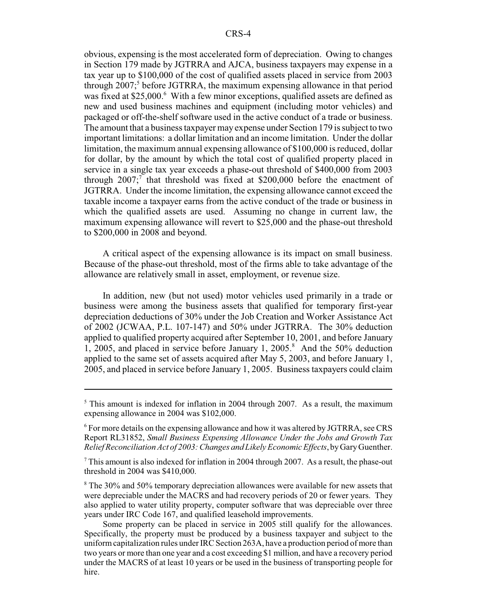obvious, expensing is the most accelerated form of depreciation. Owing to changes in Section 179 made by JGTRRA and AJCA, business taxpayers may expense in a tax year up to \$100,000 of the cost of qualified assets placed in service from 2003 through 2007;<sup>5</sup> before JGTRRA, the maximum expensing allowance in that period was fixed at \$25,000.<sup>6</sup> With a few minor exceptions, qualified assets are defined as new and used business machines and equipment (including motor vehicles) and packaged or off-the-shelf software used in the active conduct of a trade or business. The amount that a business taxpayer may expense under Section 179 is subject to two important limitations: a dollar limitation and an income limitation. Under the dollar limitation, the maximum annual expensing allowance of \$100,000 is reduced, dollar for dollar, by the amount by which the total cost of qualified property placed in service in a single tax year exceeds a phase-out threshold of \$400,000 from 2003 through  $2007$ ;<sup>7</sup> that threshold was fixed at \$200,000 before the enactment of JGTRRA. Under the income limitation, the expensing allowance cannot exceed the taxable income a taxpayer earns from the active conduct of the trade or business in which the qualified assets are used. Assuming no change in current law, the maximum expensing allowance will revert to \$25,000 and the phase-out threshold to \$200,000 in 2008 and beyond.

A critical aspect of the expensing allowance is its impact on small business. Because of the phase-out threshold, most of the firms able to take advantage of the allowance are relatively small in asset, employment, or revenue size.

In addition, new (but not used) motor vehicles used primarily in a trade or business were among the business assets that qualified for temporary first-year depreciation deductions of 30% under the Job Creation and Worker Assistance Act of 2002 (JCWAA, P.L. 107-147) and 50% under JGTRRA. The 30% deduction applied to qualified property acquired after September 10, 2001, and before January 1, 2005, and placed in service before January 1, 2005.<sup>8</sup> And the 50% deduction applied to the same set of assets acquired after May 5, 2003, and before January 1, 2005, and placed in service before January 1, 2005. Business taxpayers could claim

<sup>&</sup>lt;sup>5</sup> This amount is indexed for inflation in 2004 through 2007. As a result, the maximum expensing allowance in 2004 was \$102,000.

<sup>&</sup>lt;sup>6</sup> For more details on the expensing allowance and how it was altered by JGTRRA, see CRS Report RL31852, *Small Business Expensing Allowance Under the Jobs and Growth Tax Relief Reconciliation Act of 2003: Changes and Likely Economic Effects*, by Gary Guenther.

 $7$  This amount is also indexed for inflation in 2004 through 2007. As a result, the phase-out threshold in 2004 was \$410,000.

<sup>&</sup>lt;sup>8</sup> The 30% and 50% temporary depreciation allowances were available for new assets that were depreciable under the MACRS and had recovery periods of 20 or fewer years. They also applied to water utility property, computer software that was depreciable over three years under IRC Code 167, and qualified leasehold improvements.

Some property can be placed in service in 2005 still qualify for the allowances. Specifically, the property must be produced by a business taxpayer and subject to the uniform capitalization rules under IRC Section 263A, have a production period of more than two years or more than one year and a cost exceeding \$1 million, and have a recovery period under the MACRS of at least 10 years or be used in the business of transporting people for hire.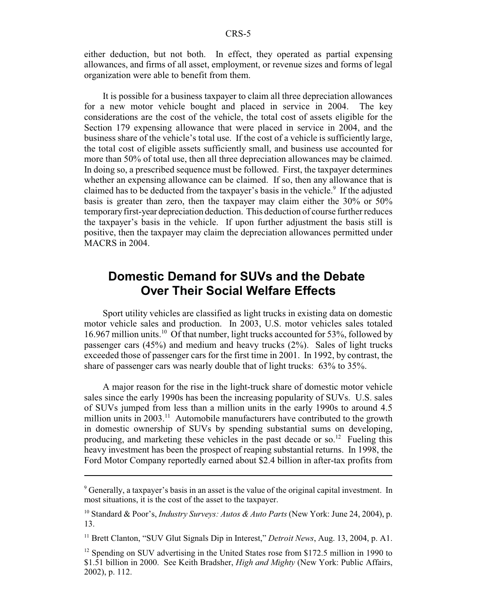either deduction, but not both. In effect, they operated as partial expensing allowances, and firms of all asset, employment, or revenue sizes and forms of legal organization were able to benefit from them.

It is possible for a business taxpayer to claim all three depreciation allowances for a new motor vehicle bought and placed in service in 2004. The key considerations are the cost of the vehicle, the total cost of assets eligible for the Section 179 expensing allowance that were placed in service in 2004, and the business share of the vehicle's total use. If the cost of a vehicle is sufficiently large, the total cost of eligible assets sufficiently small, and business use accounted for more than 50% of total use, then all three depreciation allowances may be claimed. In doing so, a prescribed sequence must be followed. First, the taxpayer determines whether an expensing allowance can be claimed. If so, then any allowance that is claimed has to be deducted from the taxpayer's basis in the vehicle.<sup>9</sup> If the adjusted basis is greater than zero, then the taxpayer may claim either the 30% or 50% temporary first-year depreciation deduction. This deduction of course further reduces the taxpayer's basis in the vehicle. If upon further adjustment the basis still is positive, then the taxpayer may claim the depreciation allowances permitted under MACRS in 2004.

#### **Domestic Demand for SUVs and the Debate Over Their Social Welfare Effects**

Sport utility vehicles are classified as light trucks in existing data on domestic motor vehicle sales and production. In 2003, U.S. motor vehicles sales totaled 16.967 million units.10 Of that number, light trucks accounted for 53%, followed by passenger cars (45%) and medium and heavy trucks (2%). Sales of light trucks exceeded those of passenger cars for the first time in 2001. In 1992, by contrast, the share of passenger cars was nearly double that of light trucks: 63% to 35%.

A major reason for the rise in the light-truck share of domestic motor vehicle sales since the early 1990s has been the increasing popularity of SUVs. U.S. sales of SUVs jumped from less than a million units in the early 1990s to around 4.5 million units in  $2003$ <sup>11</sup>. Automobile manufacturers have contributed to the growth in domestic ownership of SUVs by spending substantial sums on developing, producing, and marketing these vehicles in the past decade or so.<sup>12</sup> Fueling this heavy investment has been the prospect of reaping substantial returns. In 1998, the Ford Motor Company reportedly earned about \$2.4 billion in after-tax profits from

11 Brett Clanton, "SUV Glut Signals Dip in Interest," *Detroit News*, Aug. 13, 2004, p. A1.

<sup>&</sup>lt;sup>9</sup> Generally, a taxpayer's basis in an asset is the value of the original capital investment. In most situations, it is the cost of the asset to the taxpayer.

<sup>10</sup> Standard & Poor's, *Industry Surveys: Autos & Auto Parts* (New York: June 24, 2004), p. 13.

<sup>&</sup>lt;sup>12</sup> Spending on SUV advertising in the United States rose from \$172.5 million in 1990 to \$1.51 billion in 2000. See Keith Bradsher, *High and Mighty* (New York: Public Affairs, 2002), p. 112.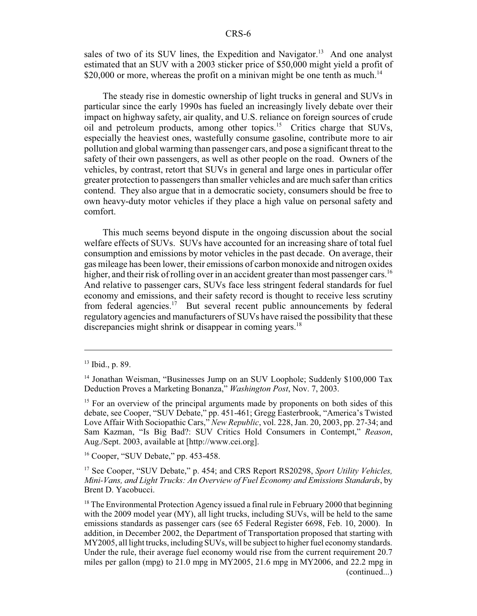sales of two of its SUV lines, the Expedition and Navigator.<sup>13</sup> And one analyst estimated that an SUV with a 2003 sticker price of \$50,000 might yield a profit of \$20,000 or more, whereas the profit on a minivan might be one tenth as much.<sup>14</sup>

The steady rise in domestic ownership of light trucks in general and SUVs in particular since the early 1990s has fueled an increasingly lively debate over their impact on highway safety, air quality, and U.S. reliance on foreign sources of crude oil and petroleum products, among other topics.15 Critics charge that SUVs, especially the heaviest ones, wastefully consume gasoline, contribute more to air pollution and global warming than passenger cars, and pose a significant threat to the safety of their own passengers, as well as other people on the road. Owners of the vehicles, by contrast, retort that SUVs in general and large ones in particular offer greater protection to passengers than smaller vehicles and are much safer than critics contend. They also argue that in a democratic society, consumers should be free to own heavy-duty motor vehicles if they place a high value on personal safety and comfort.

This much seems beyond dispute in the ongoing discussion about the social welfare effects of SUVs. SUVs have accounted for an increasing share of total fuel consumption and emissions by motor vehicles in the past decade. On average, their gas mileage has been lower, their emissions of carbon monoxide and nitrogen oxides higher, and their risk of rolling over in an accident greater than most passenger cars.<sup>16</sup> And relative to passenger cars, SUVs face less stringent federal standards for fuel economy and emissions, and their safety record is thought to receive less scrutiny from federal agencies.<sup>17</sup> But several recent public announcements by federal regulatory agencies and manufacturers of SUVs have raised the possibility that these discrepancies might shrink or disappear in coming years.<sup>18</sup>

<sup>13</sup> Ibid., p. 89.

<sup>&</sup>lt;sup>14</sup> Jonathan Weisman, "Businesses Jump on an SUV Loophole; Suddenly \$100,000 Tax Deduction Proves a Marketing Bonanza," *Washington Post*, Nov. 7, 2003.

 $15$  For an overview of the principal arguments made by proponents on both sides of this debate, see Cooper, "SUV Debate," pp. 451-461; Gregg Easterbrook, "America's Twisted Love Affair With Sociopathic Cars," *New Republic*, vol. 228, Jan. 20, 2003, pp. 27-34; and Sam Kazman, "Is Big Bad?: SUV Critics Hold Consumers in Contempt," *Reason*, Aug./Sept. 2003, available at [http://www.cei.org].

<sup>16</sup> Cooper, "SUV Debate," pp. 453-458.

<sup>17</sup> See Cooper, "SUV Debate," p. 454; and CRS Report RS20298, *Sport Utility Vehicles, Mini-Vans, and Light Trucks: An Overview of Fuel Economy and Emissions Standards*, by Brent D. Yacobucci.

 $18$  The Environmental Protection Agency issued a final rule in February 2000 that beginning with the 2009 model year (MY), all light trucks, including SUVs, will be held to the same emissions standards as passenger cars (see 65 Federal Register 6698, Feb. 10, 2000). In addition, in December 2002, the Department of Transportation proposed that starting with MY2005, all light trucks, including SUVs, will be subject to higher fuel economy standards. Under the rule, their average fuel economy would rise from the current requirement 20.7 miles per gallon (mpg) to 21.0 mpg in MY2005, 21.6 mpg in MY2006, and 22.2 mpg in (continued...)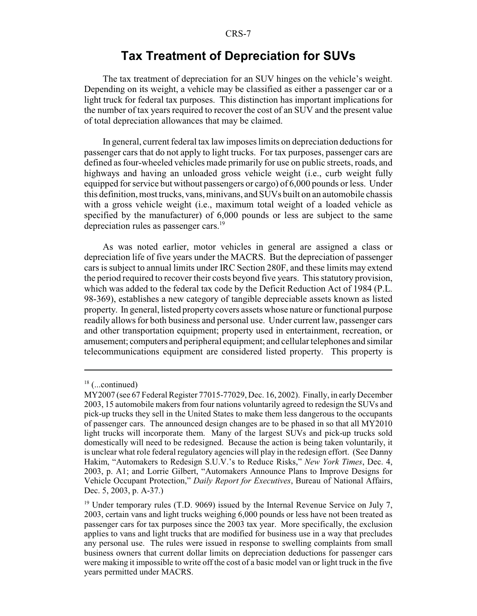#### **Tax Treatment of Depreciation for SUVs**

The tax treatment of depreciation for an SUV hinges on the vehicle's weight. Depending on its weight, a vehicle may be classified as either a passenger car or a light truck for federal tax purposes. This distinction has important implications for the number of tax years required to recover the cost of an SUV and the present value of total depreciation allowances that may be claimed.

In general, current federal tax law imposes limits on depreciation deductions for passenger cars that do not apply to light trucks. For tax purposes, passenger cars are defined as four-wheeled vehicles made primarily for use on public streets, roads, and highways and having an unloaded gross vehicle weight (i.e., curb weight fully equipped for service but without passengers or cargo) of 6,000 pounds or less. Under this definition, most trucks, vans, minivans, and SUVs built on an automobile chassis with a gross vehicle weight (i.e., maximum total weight of a loaded vehicle as specified by the manufacturer) of 6,000 pounds or less are subject to the same depreciation rules as passenger cars.<sup>19</sup>

As was noted earlier, motor vehicles in general are assigned a class or depreciation life of five years under the MACRS. But the depreciation of passenger cars is subject to annual limits under IRC Section 280F, and these limits may extend the period required to recover their costs beyond five years. This statutory provision, which was added to the federal tax code by the Deficit Reduction Act of 1984 (P.L. 98-369), establishes a new category of tangible depreciable assets known as listed property. In general, listed property covers assets whose nature or functional purpose readily allows for both business and personal use. Under current law, passenger cars and other transportation equipment; property used in entertainment, recreation, or amusement; computers and peripheral equipment; and cellular telephones and similar telecommunications equipment are considered listed property. This property is

 $18$  (...continued)

MY2007 (see 67 Federal Register 77015-77029, Dec. 16, 2002). Finally, in early December 2003, 15 automobile makers from four nations voluntarily agreed to redesign the SUVs and pick-up trucks they sell in the United States to make them less dangerous to the occupants of passenger cars. The announced design changes are to be phased in so that all MY2010 light trucks will incorporate them. Many of the largest SUVs and pick-up trucks sold domestically will need to be redesigned. Because the action is being taken voluntarily, it is unclear what role federal regulatory agencies will play in the redesign effort. (See Danny Hakim, "Automakers to Redesign S.U.V.'s to Reduce Risks," *New York Times*, Dec. 4, 2003, p. A1; and Lorrie Gilbert, "Automakers Announce Plans to Improve Designs for Vehicle Occupant Protection," *Daily Report for Executives*, Bureau of National Affairs, Dec. 5, 2003, p. A-37.)

 $19$  Under temporary rules (T.D. 9069) issued by the Internal Revenue Service on July 7, 2003, certain vans and light trucks weighing 6,000 pounds or less have not been treated as passenger cars for tax purposes since the 2003 tax year. More specifically, the exclusion applies to vans and light trucks that are modified for business use in a way that precludes any personal use. The rules were issued in response to swelling complaints from small business owners that current dollar limits on depreciation deductions for passenger cars were making it impossible to write off the cost of a basic model van or light truck in the five years permitted under MACRS.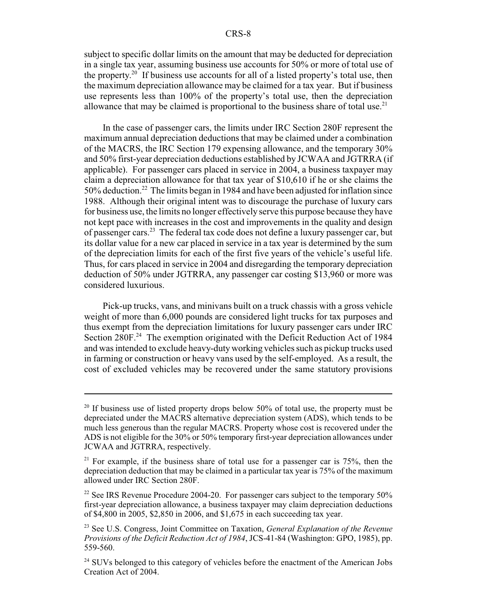subject to specific dollar limits on the amount that may be deducted for depreciation in a single tax year, assuming business use accounts for 50% or more of total use of the property.<sup>20</sup> If business use accounts for all of a listed property's total use, then the maximum depreciation allowance may be claimed for a tax year. But if business use represents less than 100% of the property's total use, then the depreciation allowance that may be claimed is proportional to the business share of total use.<sup>21</sup>

In the case of passenger cars, the limits under IRC Section 280F represent the maximum annual depreciation deductions that may be claimed under a combination of the MACRS, the IRC Section 179 expensing allowance, and the temporary 30% and 50% first-year depreciation deductions established by JCWAA and JGTRRA (if applicable). For passenger cars placed in service in 2004, a business taxpayer may claim a depreciation allowance for that tax year of \$10,610 if he or she claims the 50% deduction.22 The limits began in 1984 and have been adjusted for inflation since 1988. Although their original intent was to discourage the purchase of luxury cars for business use, the limits no longer effectively serve this purpose because they have not kept pace with increases in the cost and improvements in the quality and design of passenger cars.23 The federal tax code does not define a luxury passenger car, but its dollar value for a new car placed in service in a tax year is determined by the sum of the depreciation limits for each of the first five years of the vehicle's useful life. Thus, for cars placed in service in 2004 and disregarding the temporary depreciation deduction of 50% under JGTRRA, any passenger car costing \$13,960 or more was considered luxurious.

Pick-up trucks, vans, and minivans built on a truck chassis with a gross vehicle weight of more than 6,000 pounds are considered light trucks for tax purposes and thus exempt from the depreciation limitations for luxury passenger cars under IRC Section 280F.<sup>24</sup> The exemption originated with the Deficit Reduction Act of 1984 and was intended to exclude heavy-duty working vehicles such as pickup trucks used in farming or construction or heavy vans used by the self-employed. As a result, the cost of excluded vehicles may be recovered under the same statutory provisions

<sup>&</sup>lt;sup>20</sup> If business use of listed property drops below  $50\%$  of total use, the property must be depreciated under the MACRS alternative depreciation system (ADS), which tends to be much less generous than the regular MACRS. Property whose cost is recovered under the ADS is not eligible for the 30% or 50% temporary first-year depreciation allowances under JCWAA and JGTRRA, respectively.

<sup>&</sup>lt;sup>21</sup> For example, if the business share of total use for a passenger car is  $75\%$ , then the depreciation deduction that may be claimed in a particular tax year is 75% of the maximum allowed under IRC Section 280F.

<sup>&</sup>lt;sup>22</sup> See IRS Revenue Procedure 2004-20. For passenger cars subject to the temporary  $50\%$ first-year depreciation allowance, a business taxpayer may claim depreciation deductions of \$4,800 in 2005, \$2,850 in 2006, and \$1,675 in each succeeding tax year.

<sup>23</sup> See U.S. Congress, Joint Committee on Taxation, *General Explanation of the Revenue Provisions of the Deficit Reduction Act of 1984*, JCS-41-84 (Washington: GPO, 1985), pp. 559-560.

<sup>&</sup>lt;sup>24</sup> SUVs belonged to this category of vehicles before the enactment of the American Jobs Creation Act of 2004.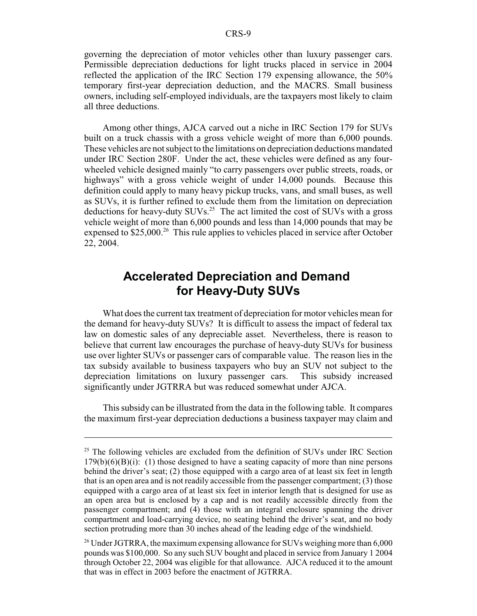governing the depreciation of motor vehicles other than luxury passenger cars. Permissible depreciation deductions for light trucks placed in service in 2004 reflected the application of the IRC Section 179 expensing allowance, the 50% temporary first-year depreciation deduction, and the MACRS. Small business owners, including self-employed individuals, are the taxpayers most likely to claim all three deductions.

Among other things, AJCA carved out a niche in IRC Section 179 for SUVs built on a truck chassis with a gross vehicle weight of more than 6,000 pounds. These vehicles are not subject to the limitations on depreciation deductions mandated under IRC Section 280F. Under the act, these vehicles were defined as any fourwheeled vehicle designed mainly "to carry passengers over public streets, roads, or highways" with a gross vehicle weight of under 14,000 pounds. Because this definition could apply to many heavy pickup trucks, vans, and small buses, as well as SUVs, it is further refined to exclude them from the limitation on depreciation deductions for heavy-duty  $\text{SUVs}^{25}$ . The act limited the cost of SUVs with a gross vehicle weight of more than 6,000 pounds and less than 14,000 pounds that may be expensed to \$25,000.<sup>26</sup> This rule applies to vehicles placed in service after October 22, 2004.

#### **Accelerated Depreciation and Demand for Heavy-Duty SUVs**

What does the current tax treatment of depreciation for motor vehicles mean for the demand for heavy-duty SUVs? It is difficult to assess the impact of federal tax law on domestic sales of any depreciable asset. Nevertheless, there is reason to believe that current law encourages the purchase of heavy-duty SUVs for business use over lighter SUVs or passenger cars of comparable value. The reason lies in the tax subsidy available to business taxpayers who buy an SUV not subject to the depreciation limitations on luxury passenger cars. This subsidy increased significantly under JGTRRA but was reduced somewhat under AJCA.

This subsidy can be illustrated from the data in the following table. It compares the maximum first-year depreciation deductions a business taxpayer may claim and

 $25$  The following vehicles are excluded from the definition of SUVs under IRC Section  $179(b)(6)(B)(i)$ : (1) those designed to have a seating capacity of more than nine persons behind the driver's seat; (2) those equipped with a cargo area of at least six feet in length that is an open area and is not readily accessible from the passenger compartment; (3) those equipped with a cargo area of at least six feet in interior length that is designed for use as an open area but is enclosed by a cap and is not readily accessible directly from the passenger compartment; and (4) those with an integral enclosure spanning the driver compartment and load-carrying device, no seating behind the driver's seat, and no body section protruding more than 30 inches ahead of the leading edge of the windshield.

<sup>&</sup>lt;sup>26</sup> Under JGTRRA, the maximum expensing allowance for SUVs weighing more than 6,000 pounds was \$100,000. So any such SUV bought and placed in service from January 1 2004 through October 22, 2004 was eligible for that allowance. AJCA reduced it to the amount that was in effect in 2003 before the enactment of JGTRRA.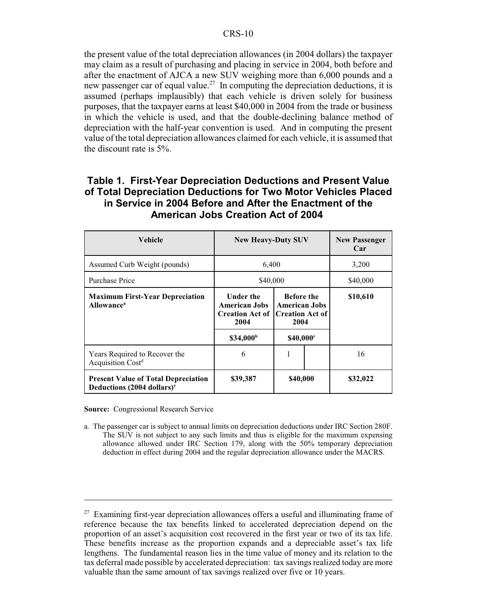the present value of the total depreciation allowances (in 2004 dollars) the taxpayer may claim as a result of purchasing and placing in service in 2004, both before and after the enactment of AJCA a new SUV weighing more than 6,000 pounds and a new passenger car of equal value.<sup>27</sup> In computing the depreciation deductions, it is assumed (perhaps implausibly) that each vehicle is driven solely for business purposes, that the taxpayer earns at least \$40,000 in 2004 from the trade or business in which the vehicle is used, and that the double-declining balance method of depreciation with the half-year convention is used. And in computing the present value of the total depreciation allowances claimed for each vehicle, it is assumed that the discount rate is 5%.

#### **Table 1. First-Year Depreciation Deductions and Present Value of Total Depreciation Deductions for Two Motor Vehicles Placed in Service in 2004 Before and After the Enactment of the American Jobs Creation Act of 2004**

| Vehicle                                                                              | <b>New Heavy-Duty SUV</b>                                                  | <b>New Passenger</b><br>Car                                                 |          |
|--------------------------------------------------------------------------------------|----------------------------------------------------------------------------|-----------------------------------------------------------------------------|----------|
| Assumed Curb Weight (pounds)                                                         | 6,400                                                                      |                                                                             | 3,200    |
| <b>Purchase Price</b>                                                                | \$40,000                                                                   |                                                                             | \$40,000 |
| <b>Maximum First-Year Depreciation</b><br><b>Allowance</b> <sup>a</sup>              | <b>Under the</b><br><b>American Jobs</b><br><b>Creation Act of</b><br>2004 | <b>Before the</b><br><b>American Jobs</b><br><b>Creation Act of</b><br>2004 | \$10,610 |
|                                                                                      | \$34,000 <sup>b</sup>                                                      | \$40,000°                                                                   |          |
| Years Required to Recover the<br>Acquisition Cost <sup>d</sup>                       | 6                                                                          | 1                                                                           | 16       |
| <b>Present Value of Total Depreciation</b><br>Deductions (2004 dollars) <sup>e</sup> | \$39,387                                                                   | \$40,000                                                                    | \$32,022 |

**Source:** Congressional Research Service

a. The passenger car is subject to annual limits on depreciation deductions under IRC Section 280F. The SUV is not subject to any such limits and thus is eligible for the maximum expensing allowance allowed under IRC Section 179, along with the 50% temporary depreciation deduction in effect during 2004 and the regular depreciation allowance under the MACRS.

 $27$  Examining first-year depreciation allowances offers a useful and illuminating frame of reference because the tax benefits linked to accelerated depreciation depend on the proportion of an asset's acquisition cost recovered in the first year or two of its tax life. These benefits increase as the proportion expands and a depreciable asset's tax life lengthens. The fundamental reason lies in the time value of money and its relation to the tax deferral made possible by accelerated depreciation: tax savings realized today are more valuable than the same amount of tax savings realized over five or 10 years.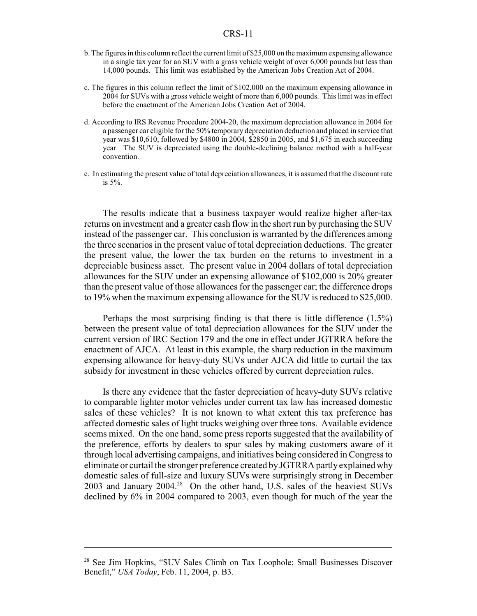#### CRS-11

- b. The figures in this column reflect the current limit of \$25,000 on the maximum expensing allowance in a single tax year for an SUV with a gross vehicle weight of over 6,000 pounds but less than 14,000 pounds. This limit was established by the American Jobs Creation Act of 2004.
- c. The figures in this column reflect the limit of \$102,000 on the maximum expensing allowance in 2004 for SUVs with a gross vehicle weight of more than 6,000 pounds. This limit was in effect before the enactment of the American Jobs Creation Act of 2004.
- d. According to IRS Revenue Procedure 2004-20, the maximum depreciation allowance in 2004 for a passenger car eligible for the 50% temporary depreciation deduction and placed in service that year was \$10,610, followed by \$4800 in 2004, \$2850 in 2005, and \$1,675 in each succeeding year. The SUV is depreciated using the double-declining balance method with a half-year convention.
- e. In estimating the present value of total depreciation allowances, it is assumed that the discount rate is 5%.

The results indicate that a business taxpayer would realize higher after-tax returns on investment and a greater cash flow in the short run by purchasing the SUV instead of the passenger car. This conclusion is warranted by the differences among the three scenarios in the present value of total depreciation deductions. The greater the present value, the lower the tax burden on the returns to investment in a depreciable business asset. The present value in 2004 dollars of total depreciation allowances for the SUV under an expensing allowance of \$102,000 is 20% greater than the present value of those allowances for the passenger car; the difference drops to 19% when the maximum expensing allowance for the SUV is reduced to \$25,000.

Perhaps the most surprising finding is that there is little difference (1.5%) between the present value of total depreciation allowances for the SUV under the current version of IRC Section 179 and the one in effect under JGTRRA before the enactment of AJCA. At least in this example, the sharp reduction in the maximum expensing allowance for heavy-duty SUVs under AJCA did little to curtail the tax subsidy for investment in these vehicles offered by current depreciation rules.

Is there any evidence that the faster depreciation of heavy-duty SUVs relative to comparable lighter motor vehicles under current tax law has increased domestic sales of these vehicles? It is not known to what extent this tax preference has affected domestic sales of light trucks weighing over three tons. Available evidence seems mixed. On the one hand, some press reports suggested that the availability of the preference, efforts by dealers to spur sales by making customers aware of it through local advertising campaigns, and initiatives being considered in Congress to eliminate or curtail the stronger preference created by JGTRRA partly explained why domestic sales of full-size and luxury SUVs were surprisingly strong in December 2003 and January 2004.<sup>28</sup> On the other hand, U.S. sales of the heaviest SUVs declined by 6% in 2004 compared to 2003, even though for much of the year the

<sup>&</sup>lt;sup>28</sup> See Jim Hopkins, "SUV Sales Climb on Tax Loophole; Small Businesses Discover Benefit," *USA Today*, Feb. 11, 2004, p. B3.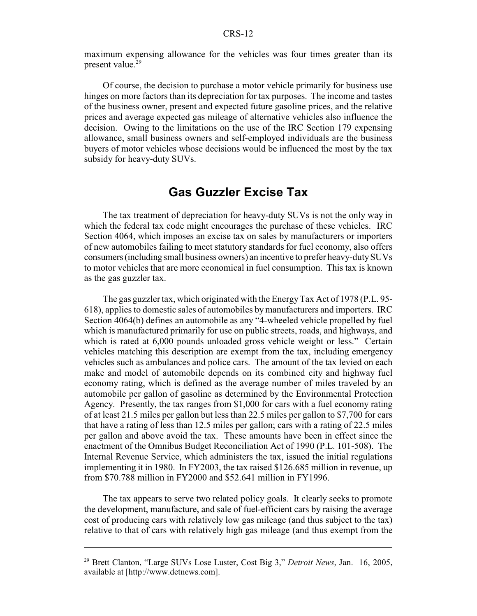maximum expensing allowance for the vehicles was four times greater than its present value.<sup>29</sup>

Of course, the decision to purchase a motor vehicle primarily for business use hinges on more factors than its depreciation for tax purposes. The income and tastes of the business owner, present and expected future gasoline prices, and the relative prices and average expected gas mileage of alternative vehicles also influence the decision. Owing to the limitations on the use of the IRC Section 179 expensing allowance, small business owners and self-employed individuals are the business buyers of motor vehicles whose decisions would be influenced the most by the tax subsidy for heavy-duty SUVs.

#### **Gas Guzzler Excise Tax**

The tax treatment of depreciation for heavy-duty SUVs is not the only way in which the federal tax code might encourages the purchase of these vehicles. IRC Section 4064, which imposes an excise tax on sales by manufacturers or importers of new automobiles failing to meet statutory standards for fuel economy, also offers consumers (including small business owners) an incentive to prefer heavy-duty SUVs to motor vehicles that are more economical in fuel consumption. This tax is known as the gas guzzler tax.

The gas guzzler tax, which originated with the Energy Tax Act of 1978 (P.L. 95- 618), applies to domestic sales of automobiles by manufacturers and importers. IRC Section 4064(b) defines an automobile as any "4-wheeled vehicle propelled by fuel which is manufactured primarily for use on public streets, roads, and highways, and which is rated at 6,000 pounds unloaded gross vehicle weight or less." Certain vehicles matching this description are exempt from the tax, including emergency vehicles such as ambulances and police cars. The amount of the tax levied on each make and model of automobile depends on its combined city and highway fuel economy rating, which is defined as the average number of miles traveled by an automobile per gallon of gasoline as determined by the Environmental Protection Agency. Presently, the tax ranges from \$1,000 for cars with a fuel economy rating of at least 21.5 miles per gallon but less than 22.5 miles per gallon to \$7,700 for cars that have a rating of less than 12.5 miles per gallon; cars with a rating of 22.5 miles per gallon and above avoid the tax. These amounts have been in effect since the enactment of the Omnibus Budget Reconciliation Act of 1990 (P.L. 101-508). The Internal Revenue Service, which administers the tax, issued the initial regulations implementing it in 1980. In FY2003, the tax raised \$126.685 million in revenue, up from \$70.788 million in FY2000 and \$52.641 million in FY1996.

The tax appears to serve two related policy goals. It clearly seeks to promote the development, manufacture, and sale of fuel-efficient cars by raising the average cost of producing cars with relatively low gas mileage (and thus subject to the tax) relative to that of cars with relatively high gas mileage (and thus exempt from the

<sup>29</sup> Brett Clanton, "Large SUVs Lose Luster, Cost Big 3," *Detroit News*, Jan. 16, 2005, available at [http://www.detnews.com].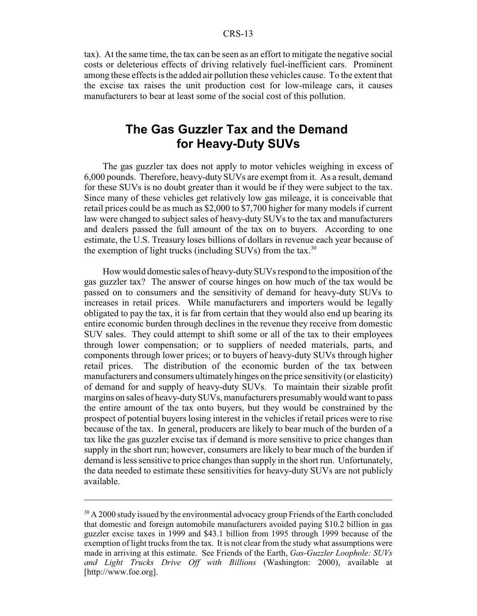#### CRS-13

tax). At the same time, the tax can be seen as an effort to mitigate the negative social costs or deleterious effects of driving relatively fuel-inefficient cars. Prominent among these effects is the added air pollution these vehicles cause. To the extent that the excise tax raises the unit production cost for low-mileage cars, it causes manufacturers to bear at least some of the social cost of this pollution.

#### **The Gas Guzzler Tax and the Demand for Heavy-Duty SUVs**

The gas guzzler tax does not apply to motor vehicles weighing in excess of 6,000 pounds. Therefore, heavy-duty SUVs are exempt from it. As a result, demand for these SUVs is no doubt greater than it would be if they were subject to the tax. Since many of these vehicles get relatively low gas mileage, it is conceivable that retail prices could be as much as \$2,000 to \$7,700 higher for many models if current law were changed to subject sales of heavy-duty SUVs to the tax and manufacturers and dealers passed the full amount of the tax on to buyers. According to one estimate, the U.S. Treasury loses billions of dollars in revenue each year because of the exemption of light trucks (including  $\text{SUVs}$ ) from the tax.<sup>30</sup>

How would domestic sales of heavy-duty SUVs respond to the imposition of the gas guzzler tax? The answer of course hinges on how much of the tax would be passed on to consumers and the sensitivity of demand for heavy-duty SUVs to increases in retail prices. While manufacturers and importers would be legally obligated to pay the tax, it is far from certain that they would also end up bearing its entire economic burden through declines in the revenue they receive from domestic SUV sales. They could attempt to shift some or all of the tax to their employees through lower compensation; or to suppliers of needed materials, parts, and components through lower prices; or to buyers of heavy-duty SUVs through higher retail prices. The distribution of the economic burden of the tax between manufacturers and consumers ultimately hinges on the price sensitivity (or elasticity) of demand for and supply of heavy-duty SUVs. To maintain their sizable profit margins on sales of heavy-duty SUVs, manufacturers presumably would want to pass the entire amount of the tax onto buyers, but they would be constrained by the prospect of potential buyers losing interest in the vehicles if retail prices were to rise because of the tax. In general, producers are likely to bear much of the burden of a tax like the gas guzzler excise tax if demand is more sensitive to price changes than supply in the short run; however, consumers are likely to bear much of the burden if demand is less sensitive to price changes than supply in the short run. Unfortunately, the data needed to estimate these sensitivities for heavy-duty SUVs are not publicly available.

 $30$  A 2000 study issued by the environmental advocacy group Friends of the Earth concluded that domestic and foreign automobile manufacturers avoided paying \$10.2 billion in gas guzzler excise taxes in 1999 and \$43.1 billion from 1995 through 1999 because of the exemption of light trucks from the tax. It is not clear from the study what assumptions were made in arriving at this estimate. See Friends of the Earth, *Gas-Guzzler Loophole: SUVs and Light Trucks Drive Off with Billions* (Washington: 2000), available at [http://www.foe.org].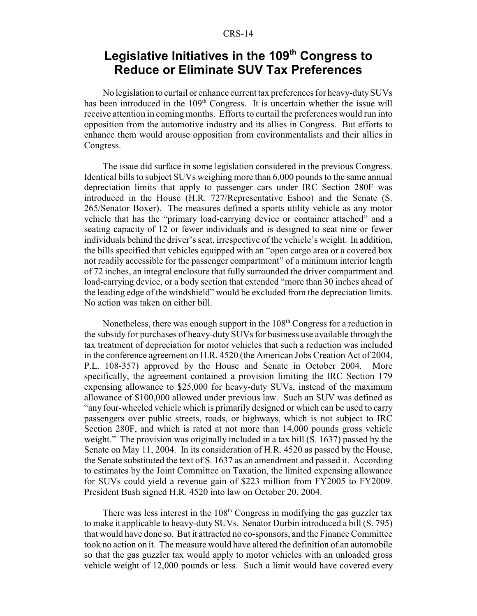## Legislative Initiatives in the 109<sup>th</sup> Congress to **Reduce or Eliminate SUV Tax Preferences**

No legislation to curtail or enhance current tax preferences for heavy-duty SUVs has been introduced in the  $109<sup>th</sup>$  Congress. It is uncertain whether the issue will receive attention in coming months. Efforts to curtail the preferences would run into opposition from the automotive industry and its allies in Congress. But efforts to enhance them would arouse opposition from environmentalists and their allies in Congress.

The issue did surface in some legislation considered in the previous Congress. Identical bills to subject SUVs weighing more than 6,000 pounds to the same annual depreciation limits that apply to passenger cars under IRC Section 280F was introduced in the House (H.R. 727/Representative Eshoo) and the Senate (S. 265/Senator Boxer). The measures defined a sports utility vehicle as any motor vehicle that has the "primary load-carrying device or container attached" and a seating capacity of 12 or fewer individuals and is designed to seat nine or fewer individuals behind the driver's seat, irrespective of the vehicle's weight. In addition, the bills specified that vehicles equipped with an "open cargo area or a covered box not readily accessible for the passenger compartment" of a minimum interior length of 72 inches, an integral enclosure that fully surrounded the driver compartment and load-carrying device, or a body section that extended "more than 30 inches ahead of the leading edge of the windshield" would be excluded from the depreciation limits. No action was taken on either bill.

Nonetheless, there was enough support in the  $108<sup>th</sup>$  Congress for a reduction in the subsidy for purchases of heavy-duty SUVs for business use available through the tax treatment of depreciation for motor vehicles that such a reduction was included in the conference agreement on H.R. 4520 (the American Jobs Creation Act of 2004, P.L. 108-357) approved by the House and Senate in October 2004. More specifically, the agreement contained a provision limiting the IRC Section 179 expensing allowance to \$25,000 for heavy-duty SUVs, instead of the maximum allowance of \$100,000 allowed under previous law. Such an SUV was defined as "any four-wheeled vehicle which is primarily designed or which can be used to carry passengers over public streets, roads, or highways, which is not subject to IRC Section 280F, and which is rated at not more than 14,000 pounds gross vehicle weight." The provision was originally included in a tax bill (S. 1637) passed by the Senate on May 11, 2004. In its consideration of H.R. 4520 as passed by the House, the Senate substituted the text of S. 1637 as an amendment and passed it. According to estimates by the Joint Committee on Taxation, the limited expensing allowance for SUVs could yield a revenue gain of \$223 million from FY2005 to FY2009. President Bush signed H.R. 4520 into law on October 20, 2004.

There was less interest in the  $108<sup>th</sup>$  Congress in modifying the gas guzzler tax to make it applicable to heavy-duty SUVs. Senator Durbin introduced a bill (S. 795) that would have done so. But it attracted no co-sponsors, and the Finance Committee took no action on it. The measure would have altered the definition of an automobile so that the gas guzzler tax would apply to motor vehicles with an unloaded gross vehicle weight of 12,000 pounds or less. Such a limit would have covered every